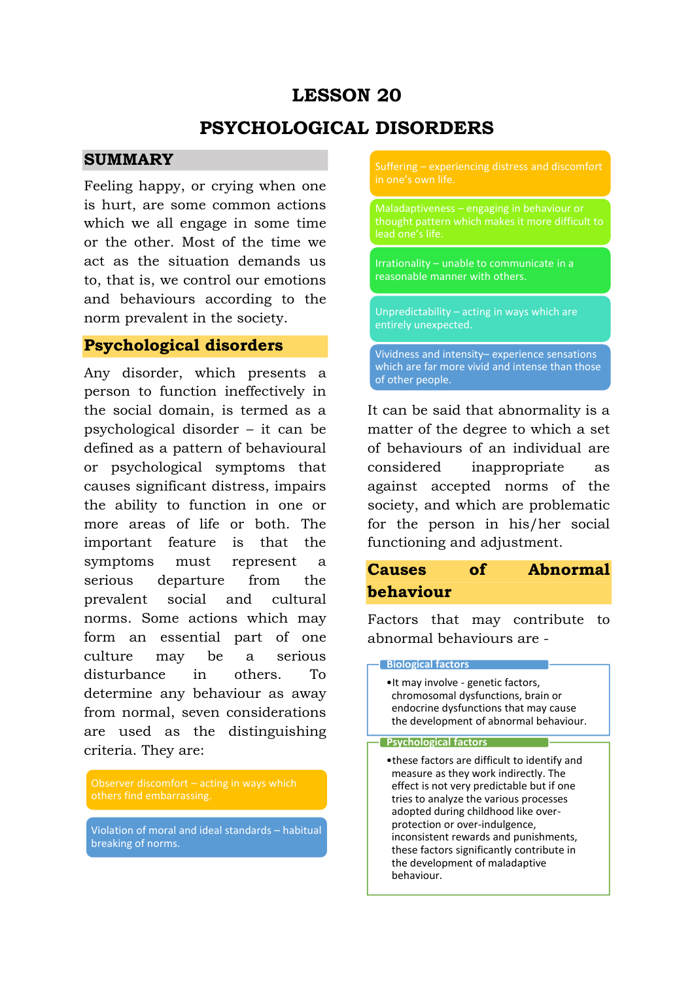# **LESSON 20**

# **PSYCHOLOGICAL DISORDERS**

## **SUMMARY**

Feeling happy, or crying when one is hurt, are some common actions which we all engage in some time or the other. Most of the time we act as the situation demands us to, that is, we control our emotions and behaviours according to the norm prevalent in the society.

# **Psychological disorders**

Any disorder, which presents a person to function ineffectively in the social domain, is termed as a psychological disorder – it can be defined as a pattern of behavioural or psychological symptoms that causes significant distress, impairs the ability to function in one or more areas of life or both. The important feature is that the symptoms must represent a serious departure from the prevalent social and cultural norms. Some actions which may form an essential part of one culture may be a serious disturbance in others. To determine any behaviour as away from normal, seven considerations are used as the distinguishing criteria. They are:

Violation of moral and ideal standards – habitual breaking of norms.

Suffering – experiencing distress and discomfort in one's own life.

Maladaptiveness – engaging in behaviour or thought pattern which makes it more difficult to

Irrationality – unable to communicate in a reasonable manner with others.

Unpredictability – acting in ways which are entirely unexpected.

Vividness and intensity– experience sensations which are far more vivid and intense than those of other people.

It can be said that abnormality is a matter of the degree to which a set of behaviours of an individual are considered inappropriate as against accepted norms of the society, and which are problematic for the person in his/her social functioning and adjustment.

# **Causes of Abnormal behaviour**

Factors that may contribute to abnormal behaviours are -

#### **Biological factors**

•It may involve - genetic factors, chromosomal dysfunctions, brain or endocrine dysfunctions that may cause the development of abnormal behaviour.

#### **Psychological factors**

•these factors are difficult to identify and measure as they work indirectly. The effect is not very predictable but if one tries to analyze the various processes adopted during childhood like overprotection or over-indulgence, inconsistent rewards and punishments, these factors significantly contribute in the development of maladaptive behaviour.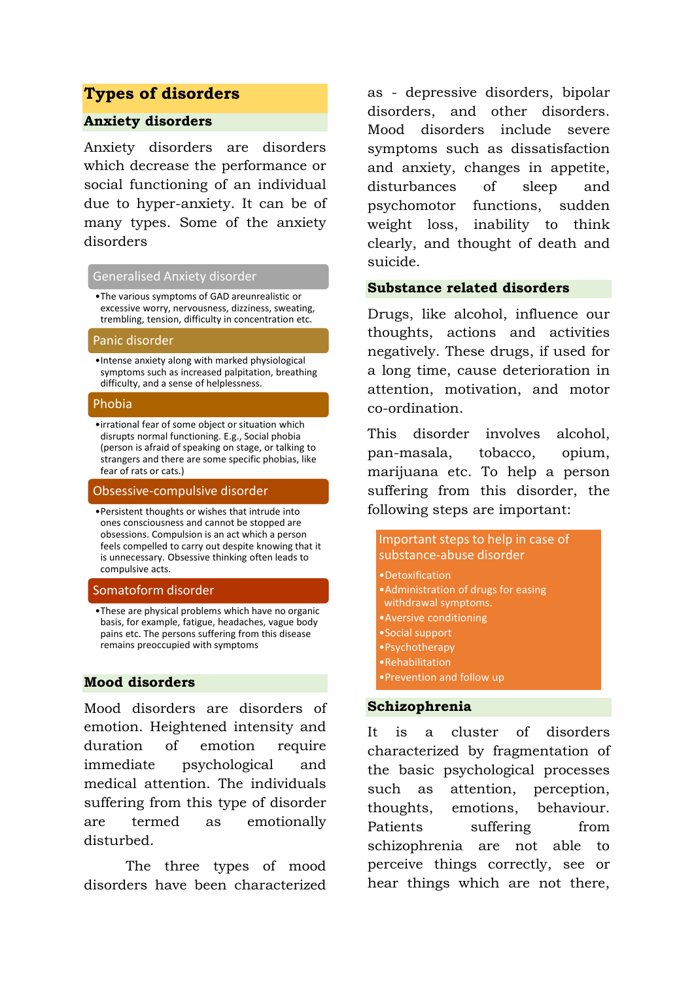## **Types of disorders**

## **Anxiety disorders**

Anxiety disorders are disorders which decrease the performance or social functioning of an individual due to hyper-anxiety. It can be of many types. Some of the anxiety disorders

### Generalised Anxiety disorder

•The various symptoms of GAD areunrealistic or excessive worry, nervousness, dizziness, sweating, trembling, tension, difficulty in concentration etc.

#### Panic disorder

•Intense anxiety along with marked physiological symptoms such as increased palpitation, breathing difficulty, and a sense of helplessness.

### Phobia

•irrational fear of some object or situation which disrupts normal functioning. E.g., Social phobia (person is afraid of speaking on stage, or talking to strangers and there are some specific phobias, like fear of rats or cats.)

#### Obsessive-compulsive disorder

•Persistent thoughts or wishes that intrude into ones consciousness and cannot be stopped are obsessions. Compulsion is an act which a person feels compelled to carry out despite knowing that it is unnecessary. Obsessive thinking often leads to compulsive acts.

#### Somatoform disorder

•These are physical problems which have no organic basis, for example, fatigue, headaches, vague body pains etc. The persons suffering from this disease remains preoccupied with symptoms

## **Mood disorders**

Mood disorders are disorders of emotion. Heightened intensity and duration of emotion require immediate psychological and medical attention. The individuals suffering from this type of disorder are termed as emotionally disturbed.

The three types of mood disorders have been characterized as - depressive disorders, bipolar disorders, and other disorders. Mood disorders include severe symptoms such as dissatisfaction and anxiety, changes in appetite, disturbances of sleep and psychomotor functions, sudden weight loss, inability to think clearly, and thought of death and suicide.

### **Substance related disorders**

Drugs, like alcohol, influence our thoughts, actions and activities negatively. These drugs, if used for a long time, cause deterioration in attention, motivation, and motor co-ordination.

This disorder involves alcohol, pan-masala, tobacco, opium, marijuana etc. To help a person suffering from this disorder, the following steps are important:

| Important steps to help in case of<br>substance-abuse disorder<br>•Detoxification<br>• Administration of drugs for easing<br>withdrawal symptoms.<br>• Aversive conditioning<br>• Social support |                                     |
|--------------------------------------------------------------------------------------------------------------------------------------------------------------------------------------------------|-------------------------------------|
|                                                                                                                                                                                                  |                                     |
|                                                                                                                                                                                                  | • Psychotherapy<br>• Rehabilitation |
| • Prevention and follow up                                                                                                                                                                       |                                     |

## **Schizophrenia**

It is a cluster of disorders characterized by fragmentation of the basic psychological processes such as attention, perception, thoughts, emotions, behaviour. Patients suffering from schizophrenia are not able to perceive things correctly, see or hear things which are not there,